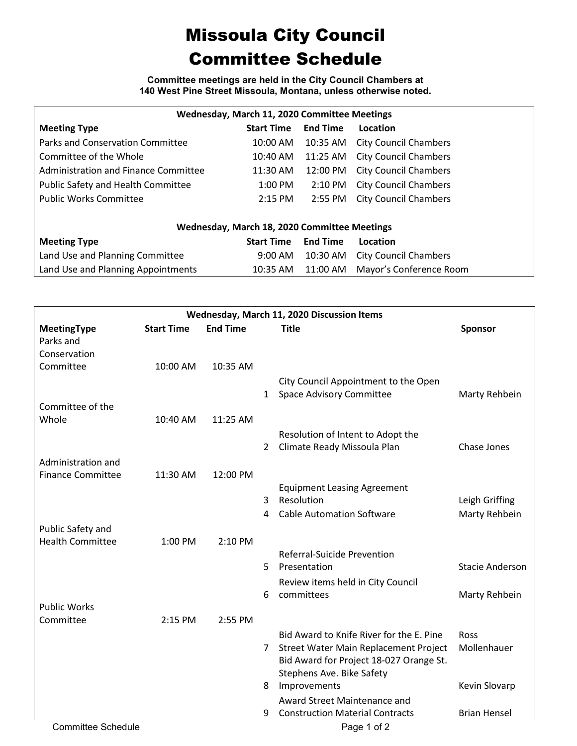## Missoula City Council Committee Schedule

**Committee meetings are held in the City Council Chambers at 140 West Pine Street Missoula, Montana, unless otherwise noted.**

| Wednesday, March 11, 2020 Committee Meetings |                   |                   |                              |  |  |  |  |  |  |
|----------------------------------------------|-------------------|-------------------|------------------------------|--|--|--|--|--|--|
| <b>Meeting Type</b>                          | <b>Start Time</b> | <b>End Time</b>   | Location                     |  |  |  |  |  |  |
| Parks and Conservation Committee             | 10:00 AM          | 10:35 AM          | <b>City Council Chambers</b> |  |  |  |  |  |  |
| Committee of the Whole                       | 10:40 AM          | 11:25 AM          | <b>City Council Chambers</b> |  |  |  |  |  |  |
| Administration and Finance Committee         | 11:30 AM          | 12:00 PM          | <b>City Council Chambers</b> |  |  |  |  |  |  |
| Public Safety and Health Committee           | 1:00 PM           | $2:10 \text{ PM}$ | <b>City Council Chambers</b> |  |  |  |  |  |  |
| <b>Public Works Committee</b>                | $2:15$ PM         | 2:55 PM           | <b>City Council Chambers</b> |  |  |  |  |  |  |
|                                              |                   |                   |                              |  |  |  |  |  |  |
| Wednesday, March 18, 2020 Committee Meetings |                   |                   |                              |  |  |  |  |  |  |
| <b>Meeting Type</b>                          | <b>Start Time</b> | <b>End Time</b>   | Location                     |  |  |  |  |  |  |
| Land Use and Planning Committee              | $9:00 \text{ AM}$ | 10:30 AM          | <b>City Council Chambers</b> |  |  |  |  |  |  |
| Land Use and Planning Appointments           | 10:35 AM          | 11:00 AM          | Mayor's Conference Room      |  |  |  |  |  |  |

| Wednesday, March 11, 2020 Discussion Items |                   |                 |   |                                                                        |                        |  |  |  |
|--------------------------------------------|-------------------|-----------------|---|------------------------------------------------------------------------|------------------------|--|--|--|
| MeetingType<br>Parks and                   | <b>Start Time</b> | <b>End Time</b> |   | <b>Title</b>                                                           | Sponsor                |  |  |  |
| Conservation                               |                   |                 |   |                                                                        |                        |  |  |  |
| Committee                                  | 10:00 AM          | 10:35 AM        |   |                                                                        |                        |  |  |  |
|                                            |                   |                 | 1 | City Council Appointment to the Open<br>Space Advisory Committee       | Marty Rehbein          |  |  |  |
| Committee of the                           |                   |                 |   |                                                                        |                        |  |  |  |
| Whole                                      | 10:40 AM          | 11:25 AM        |   |                                                                        |                        |  |  |  |
|                                            |                   |                 |   | Resolution of Intent to Adopt the                                      |                        |  |  |  |
|                                            |                   |                 | 2 | Climate Ready Missoula Plan                                            | Chase Jones            |  |  |  |
| Administration and                         |                   |                 |   |                                                                        |                        |  |  |  |
| <b>Finance Committee</b>                   | 11:30 AM          | 12:00 PM        |   |                                                                        |                        |  |  |  |
|                                            |                   |                 |   | <b>Equipment Leasing Agreement</b>                                     |                        |  |  |  |
|                                            |                   |                 | 3 | Resolution                                                             | Leigh Griffing         |  |  |  |
|                                            |                   |                 | 4 | <b>Cable Automation Software</b>                                       | Marty Rehbein          |  |  |  |
| Public Safety and                          |                   |                 |   |                                                                        |                        |  |  |  |
| <b>Health Committee</b>                    | 1:00 PM           | 2:10 PM         |   |                                                                        |                        |  |  |  |
|                                            |                   |                 |   | <b>Referral-Suicide Prevention</b>                                     |                        |  |  |  |
|                                            |                   |                 | 5 | Presentation                                                           | <b>Stacie Anderson</b> |  |  |  |
|                                            |                   |                 |   | Review items held in City Council                                      |                        |  |  |  |
|                                            |                   |                 | 6 | committees                                                             | Marty Rehbein          |  |  |  |
| <b>Public Works</b>                        |                   |                 |   |                                                                        |                        |  |  |  |
| Committee                                  | 2:15 PM           | 2:55 PM         |   |                                                                        |                        |  |  |  |
|                                            |                   |                 |   | Bid Award to Knife River for the E. Pine                               | Ross                   |  |  |  |
|                                            |                   |                 | 7 | Street Water Main Replacement Project                                  | Mollenhauer            |  |  |  |
|                                            |                   |                 |   | Bid Award for Project 18-027 Orange St.                                |                        |  |  |  |
|                                            |                   |                 | 8 | Stephens Ave. Bike Safety<br>Improvements                              | Kevin Slovarp          |  |  |  |
|                                            |                   |                 |   |                                                                        |                        |  |  |  |
|                                            |                   |                 | 9 | Award Street Maintenance and<br><b>Construction Material Contracts</b> | <b>Brian Hensel</b>    |  |  |  |
| <b>Committee Schedule</b>                  |                   |                 |   | Page 1 of 2                                                            |                        |  |  |  |
|                                            |                   |                 |   |                                                                        |                        |  |  |  |